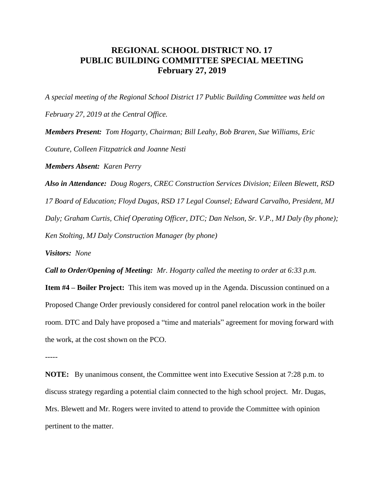## **REGIONAL SCHOOL DISTRICT NO. 17 PUBLIC BUILDING COMMITTEE SPECIAL MEETING February 27, 2019**

*A special meeting of the Regional School District 17 Public Building Committee was held on February 27, 2019 at the Central Office. Members Present: Tom Hogarty, Chairman; Bill Leahy, Bob Braren, Sue Williams, Eric Couture, Colleen Fitzpatrick and Joanne Nesti*

*Members Absent: Karen Perry*

*Also in Attendance: Doug Rogers, CREC Construction Services Division; Eileen Blewett, RSD 17 Board of Education; Floyd Dugas, RSD 17 Legal Counsel; Edward Carvalho, President, MJ Daly; Graham Curtis, Chief Operating Officer, DTC; Dan Nelson, Sr. V.P., MJ Daly (by phone); Ken Stolting, MJ Daly Construction Manager (by phone)*

*Visitors: None*

*Call to Order/Opening of Meeting: Mr. Hogarty called the meeting to order at 6:33 p.m.* 

**Item #4 – Boiler Project:** This item was moved up in the Agenda. Discussion continued on a Proposed Change Order previously considered for control panel relocation work in the boiler room. DTC and Daly have proposed a "time and materials" agreement for moving forward with the work, at the cost shown on the PCO.

-----

**NOTE:** By unanimous consent, the Committee went into Executive Session at 7:28 p.m. to discuss strategy regarding a potential claim connected to the high school project. Mr. Dugas, Mrs. Blewett and Mr. Rogers were invited to attend to provide the Committee with opinion pertinent to the matter.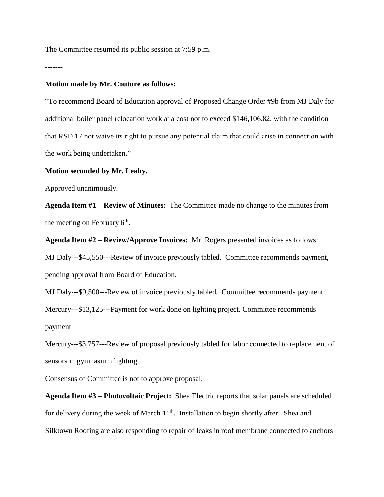The Committee resumed its public session at 7:59 p.m.

-------

## **Motion made by Mr. Couture as follows:**

"To recommend Board of Education approval of Proposed Change Order #9b from MJ Daly for additional boiler panel relocation work at a cost not to exceed \$146,106.82, with the condition that RSD 17 not waive its right to pursue any potential claim that could arise in connection with the work being undertaken."

## **Motion seconded by Mr. Leahy.**

Approved unanimously.

**Agenda Item #1 – Review of Minutes:** The Committee made no change to the minutes from the meeting on February  $6<sup>th</sup>$ .

**Agenda Item #2 – Review/Approve Invoices:** Mr. Rogers presented invoices as follows:

MJ Daly---\$45,550---Review of invoice previously tabled. Committee recommends payment, pending approval from Board of Education.

MJ Daly---\$9,500---Review of invoice previously tabled. Committee recommends payment.

Mercury---\$13,125---Payment for work done on lighting project. Committee recommends payment.

Mercury---\$3,757---Review of proposal previously tabled for labor connected to replacement of sensors in gymnasium lighting.

Consensus of Committee is not to approve proposal.

**Agenda Item #3 – Photovoltaic Project:** Shea Electric reports that solar panels are scheduled for delivery during the week of March  $11<sup>th</sup>$ . Installation to begin shortly after. Shea and Silktown Roofing are also responding to repair of leaks in roof membrane connected to anchors